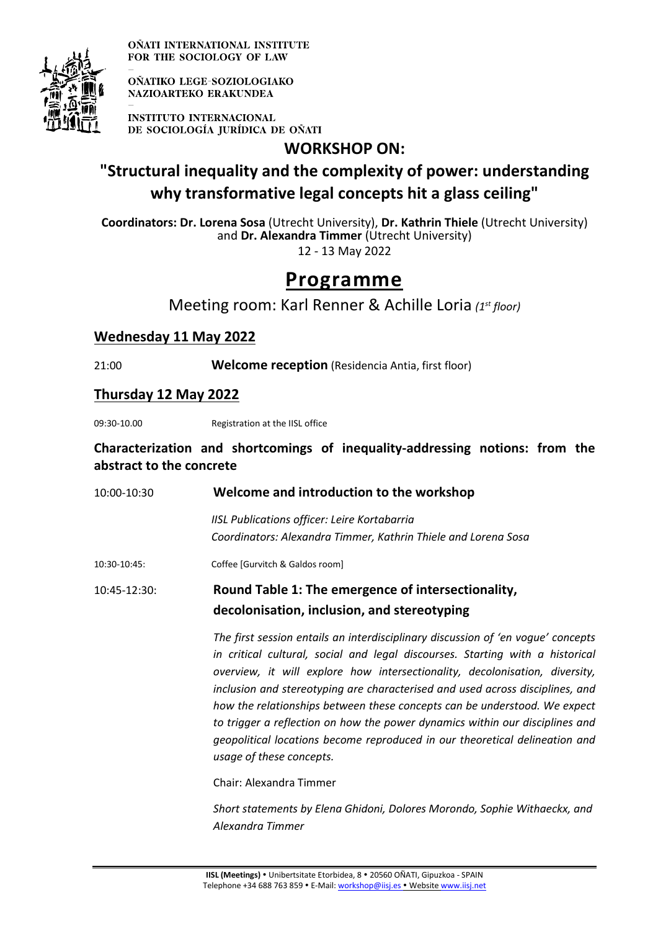

OÑATI INTERNATIONAL INSTITUTE FOR THE SOCIOLOGY OF LAW

OÑATIKO LEGE-SOZIOLOGIAKO **NAZIOARTEKO ERAKUNDEA** 

**INSTITUTO INTERNACIONAL** DE SOCIOLOGÍA JURÍDICA DE OÑATI

**WORKSHOP ON:**

# **"Structural inequality and the complexity of power: understanding why transformative legal concepts hit a glass ceiling"**

**Coordinators: Dr. Lorena Sosa** (Utrecht University), **Dr. Kathrin Thiele** (Utrecht University) and **Dr. Alexandra Timmer** (Utrecht University) 12 - 13 May 2022

# **Programme**

Meeting room: Karl Renner & Achille Loria *(1st floor)*

## **Wednesday 11 May 2022**

21:00 **Welcome reception** (Residencia Antia, first floor)

## **Thursday 12 May 2022**

09:30-10.00 Registration at the IISL office

### **Characterization and shortcomings of inequality-addressing notions: from the abstract to the concrete**

| 10:00-10:30  | Welcome and introduction to the workshop                                                                                                                                                                                                                                                                                                                                                                                                                                                                                                                                      |
|--------------|-------------------------------------------------------------------------------------------------------------------------------------------------------------------------------------------------------------------------------------------------------------------------------------------------------------------------------------------------------------------------------------------------------------------------------------------------------------------------------------------------------------------------------------------------------------------------------|
|              | IISL Publications officer: Leire Kortabarria<br>Coordinators: Alexandra Timmer, Kathrin Thiele and Lorena Sosa                                                                                                                                                                                                                                                                                                                                                                                                                                                                |
| 10:30-10:45: | Coffee [Gurvitch & Galdos room]                                                                                                                                                                                                                                                                                                                                                                                                                                                                                                                                               |
| 10:45-12:30: | Round Table 1: The emergence of intersectionality,<br>decolonisation, inclusion, and stereotyping                                                                                                                                                                                                                                                                                                                                                                                                                                                                             |
|              | The first session entails an interdisciplinary discussion of 'en voque' concepts<br>in critical cultural, social and legal discourses. Starting with a historical<br>overview, it will explore how intersectionality, decolonisation, diversity,<br>inclusion and stereotyping are characterised and used across disciplines, and<br>how the relationships between these concepts can be understood. We expect<br>to trigger a reflection on how the power dynamics within our disciplines and<br>geopolitical locations become reproduced in our theoretical delineation and |

Chair: Alexandra Timmer

*usage of these concepts.*

*Short statements by Elena Ghidoni, Dolores Morondo, Sophie Withaeckx, and Alexandra Timmer*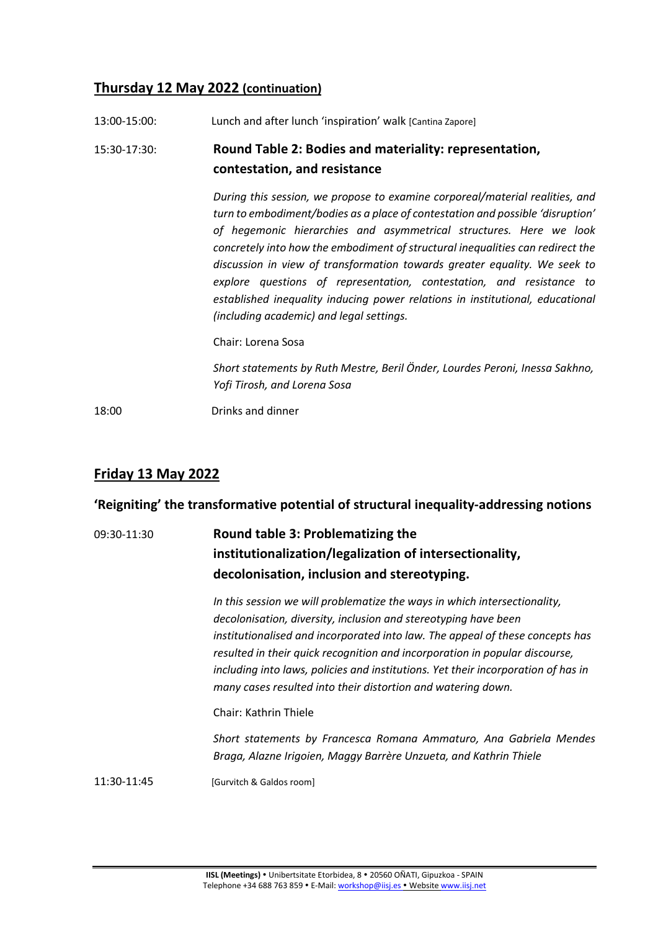## **Thursday 12 May 2022 (continuation)**

| 13:00-15:00: | Lunch and after lunch 'inspiration' walk [Cantina Zapore]                                                                                                                                                                                                                                                                                                                                                                                                                                                                                                                                                |
|--------------|----------------------------------------------------------------------------------------------------------------------------------------------------------------------------------------------------------------------------------------------------------------------------------------------------------------------------------------------------------------------------------------------------------------------------------------------------------------------------------------------------------------------------------------------------------------------------------------------------------|
| 15:30-17:30: | Round Table 2: Bodies and materiality: representation,<br>contestation, and resistance                                                                                                                                                                                                                                                                                                                                                                                                                                                                                                                   |
|              | During this session, we propose to examine corporeal/material realities, and<br>turn to embodiment/bodies as a place of contestation and possible 'disruption'<br>of hegemonic hierarchies and asymmetrical structures. Here we look<br>concretely into how the embodiment of structural inequalities can redirect the<br>discussion in view of transformation towards greater equality. We seek to<br>explore questions of representation, contestation, and resistance to<br>established inequality inducing power relations in institutional, educational<br>(including academic) and legal settings. |
|              | Chair: Lorena Sosa                                                                                                                                                                                                                                                                                                                                                                                                                                                                                                                                                                                       |
|              | Short statements by Ruth Mestre, Beril Önder, Lourdes Peroni, Inessa Sakhno,<br>Yofi Tirosh, and Lorena Sosa                                                                                                                                                                                                                                                                                                                                                                                                                                                                                             |
| 18:00        | Drinks and dinner                                                                                                                                                                                                                                                                                                                                                                                                                                                                                                                                                                                        |

## **Friday 13 May 2022**

## **'Reigniting' the transformative potential of structural inequality-addressing notions**

## 09:30-11:30 **Round table 3: Problematizing the institutionalization/legalization of intersectionality, decolonisation, inclusion and stereotyping.**

*In this session we will problematize the ways in which intersectionality, decolonisation, diversity, inclusion and stereotyping have been institutionalised and incorporated into law. The appeal of these concepts has resulted in their quick recognition and incorporation in popular discourse, including into laws, policies and institutions. Yet their incorporation of has in many cases resulted into their distortion and watering down.* 

Chair: Kathrin Thiele

*Short statements by Francesca Romana Ammaturo, Ana Gabriela Mendes Braga, Alazne Irigoien, Maggy Barrère Unzueta, and Kathrin Thiele* 

11:30-11:45 [Gurvitch & Galdos room]